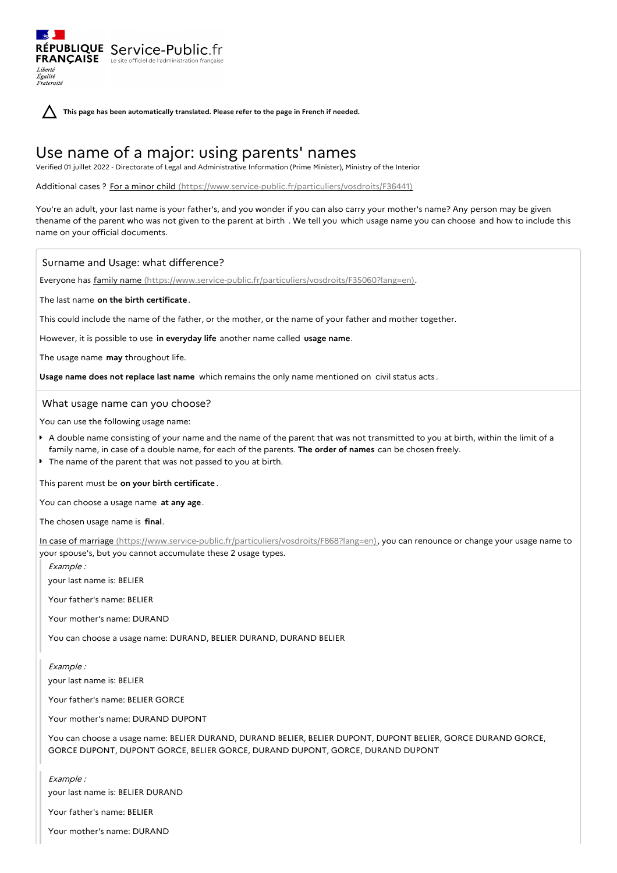**This page has been automatically translated. Please refer to the page in French if needed.**

# Use name of a major: using parents' names

Verified 01 juillet 2022 - Directorate of Legal and Administrative Information (Prime Minister), Ministry of the Interior

Additional cases ? For a minor child [\(https://www.service-public.fr/particuliers/vosdroits/F36441\)](https://www.service-public.fr/particuliers/vosdroits/F36441)

You're an adult, your last name is your father's, and you wonder if you can also carry your mother's name? Any person may be given thename of the parent who was not given to the parent at birth . We tell you which usage name you can choose and how to include this name on your official documents.

## Surname and Usage: what difference?

RÉPUBLIQUE Service-Public.fr **FRANÇAISE** Le site officiel de l'administration fran

Liberté Égalité<br>Fraternité

Everyone has family name [\(https://www.service-public.fr/particuliers/vosdroits/F35060?lang=en\)](https://www.service-public.fr/particuliers/vosdroits/F35060?lang=en).

The last name **on the birth certificate**.

This could include the name of the father, or the mother, or the name of your father and mother together.

However, it is possible to use **in everyday life** another name called **usage name**.

The usage name **may** throughout life.

**Usage name does not replace last name** which remains the only name mentioned on civil status acts .

## What usage name can you choose?

You can use the following usage name:

- A double name consisting of your name and the name of the parent that was not transmitted to you at birth, within the limit of a family name, in case of a double name, for each of the parents. **The order of names** can be chosen freely.
- The name of the parent that was not passed to you at birth.

This parent must be **on your birth certificate** .

You can choose a usage name **at any age**.

The chosen usage name is **final**.

In case of marriage [\(https://www.service-public.fr/particuliers/vosdroits/F868?lang=en\)](https://www.service-public.fr/particuliers/vosdroits/F868?lang=en), you can renounce or change your usage name to your spouse's, but you cannot accumulate these 2 usage types.

Example : your last name is: BELIER

Your father's name: BELIER

Your mother's name: DURAND

You can choose a usage name: DURAND, BELIER DURAND, DURAND BELIER

Example : your last name is: BELIER

Your father's name: BELIER GORCE

Your mother's name: DURAND DUPONT

You can choose a usage name: BELIER DURAND, DURAND BELIER, BELIER DUPONT, DUPONT BELIER, GORCE DURAND GORCE, GORCE DUPONT, DUPONT GORCE, BELIER GORCE, DURAND DUPONT, GORCE, DURAND DUPONT

Example :

your last name is: BELIER DURAND

Your father's name: BELIER

Your mother's name: DURAND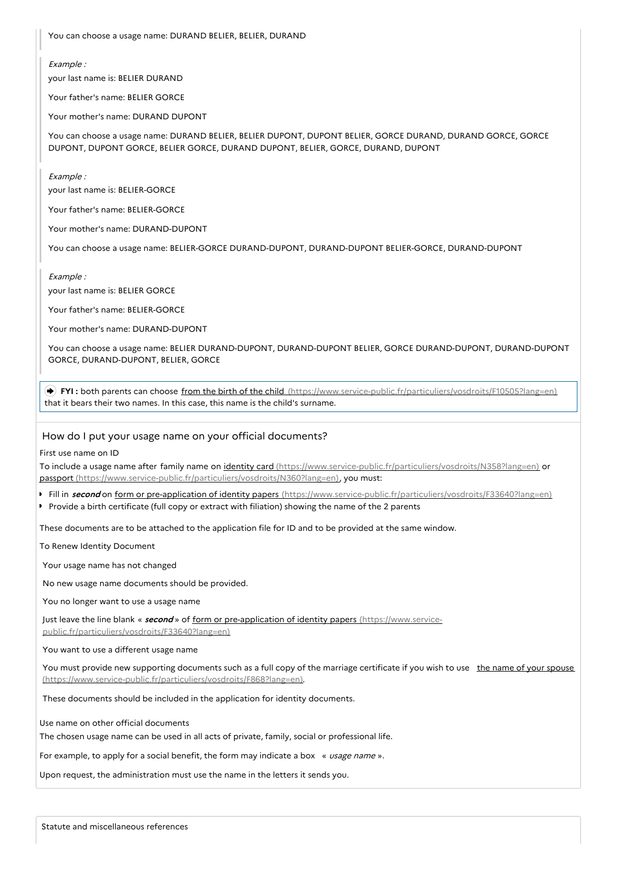You can choose a usage name: DURAND BELIER, BELIER, DURAND

#### Example :

your last name is: BELIER DURAND

Your father's name: BELIER GORCE

Your mother's name: DURAND DUPONT

You can choose a usage name: DURAND BELIER, BELIER DUPONT, DUPONT BELIER, GORCE DURAND, DURAND GORCE, GORCE DUPONT, DUPONT GORCE, BELIER GORCE, DURAND DUPONT, BELIER, GORCE, DURAND, DUPONT

Example :

your last name is: BELIER-GORCE

Your father's name: BELIER-GORCE

Your mother's name: DURAND-DUPONT

You can choose a usage name: BELIER-GORCE DURAND-DUPONT, DURAND-DUPONT BELIER-GORCE, DURAND-DUPONT

Example :

your last name is: BELIER GORCE

Your father's name: BELIER-GORCE

Your mother's name: DURAND-DUPONT

You can choose a usage name: BELIER DURAND-DUPONT, DURAND-DUPONT BELIER, GORCE DURAND-DUPONT, DURAND-DUPONT GORCE, DURAND-DUPONT, BELIER, GORCE

 **FYI :** both parents can choose from the birth of the child [\(https://www.service-public.fr/particuliers/vosdroits/F10505?lang=en\)](https://www.service-public.fr/particuliers/vosdroits/F10505?lang=en) that it bears their two names. In this case, this name is the child's surname.

### How do I put your usage name on your official documents?

First use name on ID

To include a usage name after family name on identity card [\(https://www.service-public.fr/particuliers/vosdroits/N358?lang=en\)](https://www.service-public.fr/particuliers/vosdroits/N358?lang=en) or passport [\(https://www.service-public.fr/particuliers/vosdroits/N360?lang=en\)](https://www.service-public.fr/particuliers/vosdroits/N360?lang=en), you must:

- Fill in **second** on form or pre-application of identity papers [\(https://www.service-public.fr/particuliers/vosdroits/F33640?lang=en\)](https://www.service-public.fr/particuliers/vosdroits/F33640?lang=en)
- Provide a birth certificate (full copy or extract with filiation) showing the name of the 2 parents

These documents are to be attached to the application file for ID and to be provided at the same window.

To Renew Identity Document

Your usage name has not changed

No new usage name documents should be provided.

You no longer want to use a usage name

Just leave the line blank « **second** » of form or pre-application of identity papers (https://www.service-

[public.fr/particuliers/vosdroits/F33640?lang=en\)](https://www.service-public.fr/particuliers/vosdroits/F33640?lang=en)

You want to use a different usage name

You must provide new supporting documents such as a full copy of the marriage certificate if you wish to use the name of your spouse [\(https://www.service-public.fr/particuliers/vosdroits/F868?lang=en\).](https://www.service-public.fr/particuliers/vosdroits/F868?lang=en)

These documents should be included in the application for identity documents.

Use name on other official documents

The chosen usage name can be used in all acts of private, family, social or professional life.

For example, to apply for a social benefit, the form may indicate a box « usage name ».

Upon request, the administration must use the name in the letters it sends you.